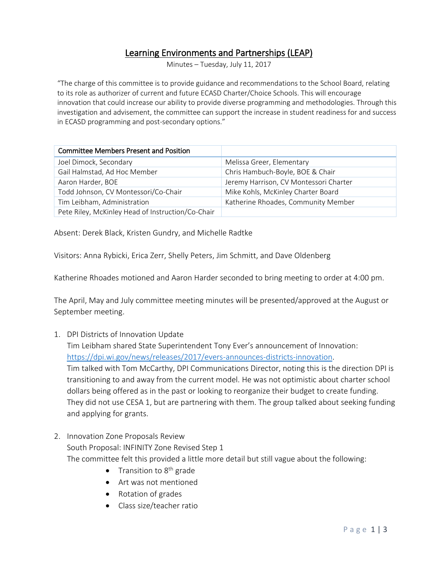# Learning Environments and Partnerships (LEAP)

Minutes – Tuesday, July 11, 2017

"The charge of this committee is to provide guidance and recommendations to the School Board, relating to its role as authorizer of current and future ECASD Charter/Choice Schools. This will encourage innovation that could increase our ability to provide diverse programming and methodologies. Through this investigation and advisement, the committee can support the increase in student readiness for and success in ECASD programming and post-secondary options."

| <b>Committee Members Present and Position</b>     |                                        |
|---------------------------------------------------|----------------------------------------|
| Joel Dimock, Secondary                            | Melissa Greer, Elementary              |
| Gail Halmstad, Ad Hoc Member                      | Chris Hambuch-Boyle, BOE & Chair       |
| Aaron Harder, BOE                                 | Jeremy Harrison, CV Montessori Charter |
| Todd Johnson, CV Montessori/Co-Chair              | Mike Kohls, McKinley Charter Board     |
| Tim Leibham, Administration                       | Katherine Rhoades, Community Member    |
| Pete Riley, McKinley Head of Instruction/Co-Chair |                                        |

Absent: Derek Black, Kristen Gundry, and Michelle Radtke

Visitors: Anna Rybicki, Erica Zerr, Shelly Peters, Jim Schmitt, and Dave Oldenberg

Katherine Rhoades motioned and Aaron Harder seconded to bring meeting to order at 4:00 pm.

The April, May and July committee meeting minutes will be presented/approved at the August or September meeting.

1. DPI Districts of Innovation Update

Tim Leibham shared State Superintendent Tony Ever's announcement of Innovation: [https://dpi.wi.gov/news/releases/2017/evers-announces-districts-innovation.](https://dpi.wi.gov/news/releases/2017/evers-announces-districts-innovation)

Tim talked with Tom McCarthy, DPI Communications Director, noting this is the direction DPI is transitioning to and away from the current model. He was not optimistic about charter school dollars being offered as in the past or looking to reorganize their budget to create funding. They did not use CESA 1, but are partnering with them. The group talked about seeking funding and applying for grants.

- 2. Innovation Zone Proposals Review South Proposal: INFINITY Zone Revised Step 1 The committee felt this provided a little more detail but still vague about the following:
	- Transition to  $8<sup>th</sup>$  grade
	- Art was not mentioned
	- Rotation of grades
	- Class size/teacher ratio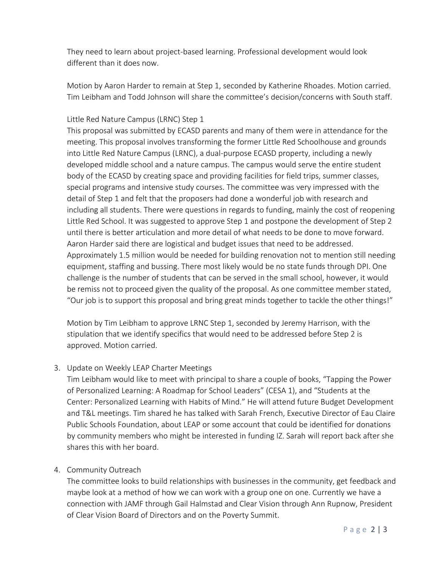They need to learn about project-based learning. Professional development would look different than it does now.

Motion by Aaron Harder to remain at Step 1, seconded by Katherine Rhoades. Motion carried. Tim Leibham and Todd Johnson will share the committee's decision/concerns with South staff.

## Little Red Nature Campus (LRNC) Step 1

This proposal was submitted by ECASD parents and many of them were in attendance for the meeting. This proposal involves transforming the former Little Red Schoolhouse and grounds into Little Red Nature Campus (LRNC), a dual-purpose ECASD property, including a newly developed middle school and a nature campus. The campus would serve the entire student body of the ECASD by creating space and providing facilities for field trips, summer classes, special programs and intensive study courses. The committee was very impressed with the detail of Step 1 and felt that the proposers had done a wonderful job with research and including all students. There were questions in regards to funding, mainly the cost of reopening Little Red School. It was suggested to approve Step 1 and postpone the development of Step 2 until there is better articulation and more detail of what needs to be done to move forward. Aaron Harder said there are logistical and budget issues that need to be addressed. Approximately 1.5 million would be needed for building renovation not to mention still needing equipment, staffing and bussing. There most likely would be no state funds through DPI. One challenge is the number of students that can be served in the small school, however, it would be remiss not to proceed given the quality of the proposal. As one committee member stated, "Our job is to support this proposal and bring great minds together to tackle the other things!"

Motion by Tim Leibham to approve LRNC Step 1, seconded by Jeremy Harrison, with the stipulation that we identify specifics that would need to be addressed before Step 2 is approved. Motion carried.

## 3. Update on Weekly LEAP Charter Meetings

Tim Leibham would like to meet with principal to share a couple of books, "Tapping the Power of Personalized Learning: A Roadmap for School Leaders" (CESA 1), and "Students at the Center: Personalized Learning with Habits of Mind." He will attend future Budget Development and T&L meetings. Tim shared he has talked with Sarah French, Executive Director of Eau Claire Public Schools Foundation, about LEAP or some account that could be identified for donations by community members who might be interested in funding IZ. Sarah will report back after she shares this with her board.

## 4. Community Outreach

The committee looks to build relationships with businesses in the community, get feedback and maybe look at a method of how we can work with a group one on one. Currently we have a connection with JAMF through Gail Halmstad and Clear Vision through Ann Rupnow, President of Clear Vision Board of Directors and on the Poverty Summit.